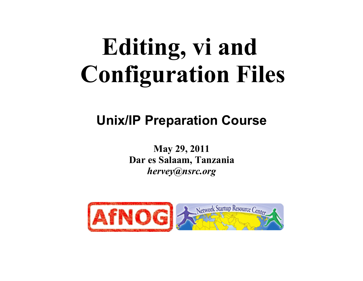# **Editing, vi and Configuration Files**

#### **Unix/IP Preparation Course**

**May 29, 2011 Dar es Salaam, Tanzania**  *hervey@nsrc.org*

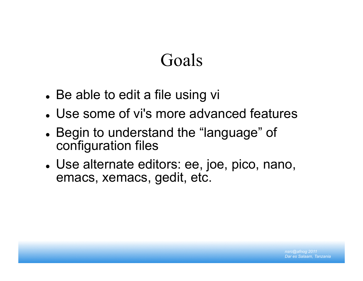### Goals

- Be able to edit a file using vi
- Use some of vi's more advanced features
- Begin to understand the "language" of configuration files
- Use alternate editors: ee, joe, pico, nano, emacs, xemacs, gedit, etc.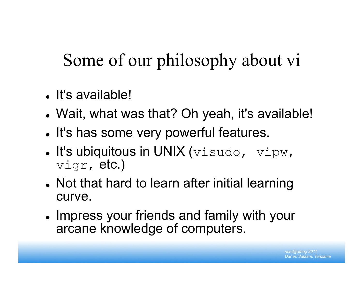# Some of our philosophy about vi

- It's available!
- Wait, what was that? Oh yeah, it's available!
- . It's has some very powerful features.
- $\bullet$  It's ubiquitous in UNIX (visudo, vipw, vigr, etc.)
- Not that hard to learn after initial learning curve.
- Impress your friends and family with your arcane knowledge of computers.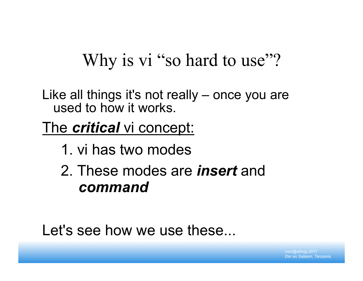### Why is vi "so hard to use"?

Like all things it's not really – once you are used to how it works.

The *critical* vi concept:

- 1. vi has two modes
- 2. These modes are *insert* and *command*

Let's see how we use these...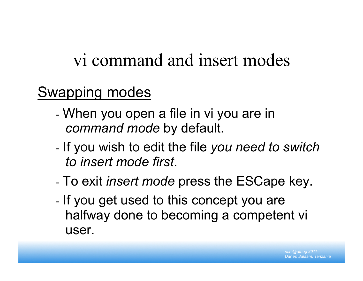#### vi command and insert modes

#### Swapping modes

- When you open a file in vi you are in *command mode* by default.
- If you wish to edit the file *you need to switch to insert mode first*.
- To exit *insert mode* press the ESCape key.
- If you get used to this concept you are halfway done to becoming a competent vi user.

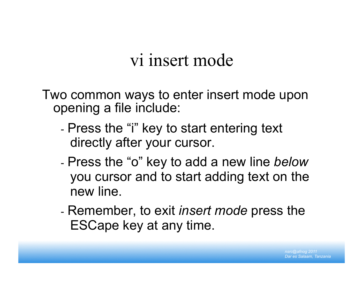#### vi insert mode

Two common ways to enter insert mode upon opening a file include:

- Press the "i" key to start entering text directly after your cursor.
- Press the "o" key to add a new line *below* you cursor and to start adding text on the new line.
- Remember, to exit *insert mode* press the ESCape key at any time.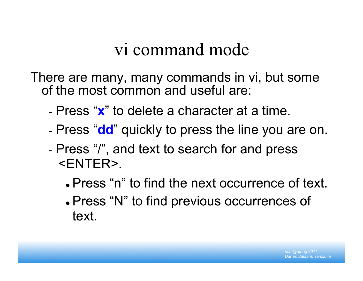#### vi command mode

There are many, many commands in vi, but some of the most common and useful are:

- Press "**x**" to delete a character at a time.
- Press "**dd**" quickly to press the line you are on.
- Press "/", and text to search for and press <ENTER>.
	- Press "n" to find the next occurrence of text.
	- Press "N" to find previous occurrences of text.

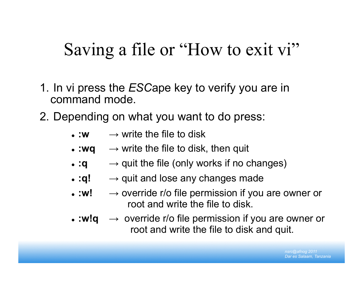#### Saving a file or "How to exit vi"

- 1. In vi press the *ESC*ape key to verify you are in command mode.
- 2. Depending on what you want to do press:
	- $\bullet$  :w  $\rightarrow$  write the file to disk
	- $\bullet$  :wq  $\rightarrow$  write the file to disk, then quit
	- $\bullet$  :q  $\rightarrow$  quit the file (only works if no changes)
	- $\bullet$  :q!  $\rightarrow$  quit and lose any changes made
	- $\bullet$  :w!  $\rightarrow$  override r/o file permission if you are owner or root and write the file to disk.
	- **:w!q** → override r/o file permission if you are owner or root and write the file to disk and quit.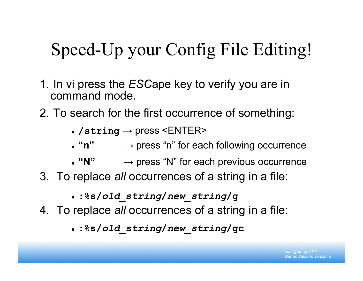# Speed-Up your Config File Editing!

- 1. In vi press the *ESC*ape key to verify you are in command mode.
- 2. To search for the first occurrence of something:
	- $\bullet$  /string  $\rightarrow$  press <ENTER>
	- "n" → press "n" for each following occurrence
	- "N" → press "N" for each previous occurrence
- 3. To replace *all* occurrences of a string in a file:
	- **:%s/***old\_string***/***new\_string***/g**
- 4. To replace *all* occurrences of a string in a file:
	- **:%s/***old\_string***/***new\_string***/gc**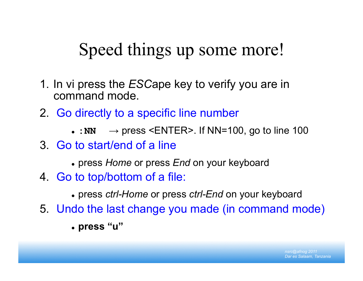### Speed things up some more!

- 1. In vi press the *ESC*ape key to verify you are in command mode.
- 2. Go directly to a specific line number
	- $\cdot :NN \rightarrow press \leq NTER$ . If NN=100, go to line 100
- 3. Go to start/end of a line
	- press *Home* or press *End* on your keyboard
- 4. Go to top/bottom of a file:
	- press *ctrl-Home* or press *ctrl-End* on your keyboard
- 5. Undo the last change you made (in command mode)
	- **press "u"**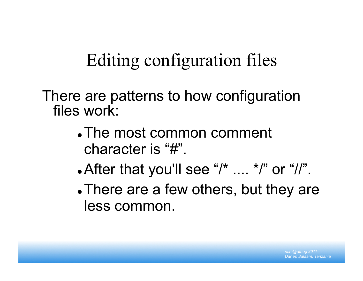# Editing configuration files

There are patterns to how configuration files work:

- The most common comment character is "#".
- After that you'll see " $\prime^*$  ....  $\prime''$ " or "//".
- There are a few others, but they are less common.

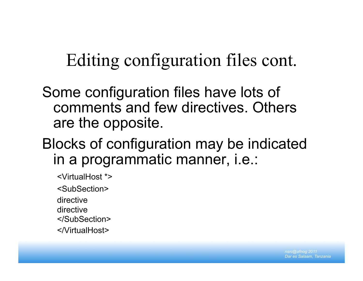### Editing configuration files cont.

Some configuration files have lots of comments and few directives. Others are the opposite.

#### Blocks of configuration may be indicated in a programmatic manner, i.e.:

<VirtualHost \*>

<SubSection>

directive

directive

</SubSection>

</VirtualHost>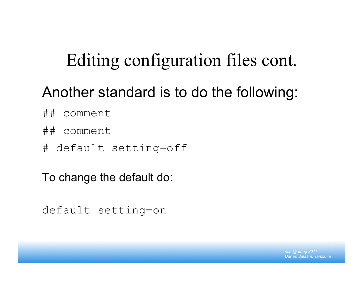### Editing configuration files cont.

#### Another standard is to do the following:

- ## comment
- ## comment
- # default setting=off

To change the default do:

```
default setting=on
```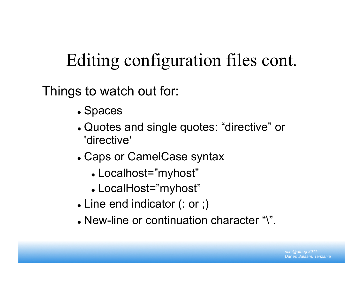# Editing configuration files cont.

Things to watch out for:

- Spaces
- Quotes and single quotes: "directive" or 'directive'
- Caps or CamelCase syntax
	- Localhost="myhost"
	- LocalHost="myhost"
- Line end indicator (: or ;)
- New-line or continuation character "\".